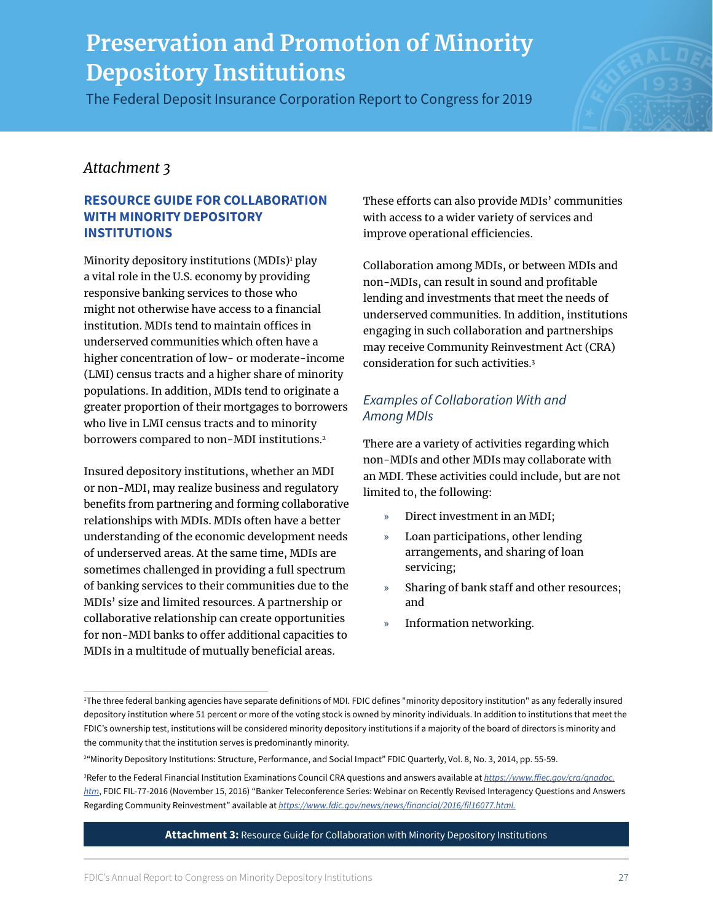The Federal Deposit Insurance Corporation Report to Congress for 2019



### *Attachment 3*

#### **RESOURCE GUIDE FOR COLLABORATION WITH MINORITY DEPOSITORY INSTITUTIONS**

Minority depository institutions (MDIs)<sup>1</sup> play a vital role in the U.S. economy by providing responsive banking services to those who might not otherwise have access to a financial institution. MDIs tend to maintain offices in underserved communities which often have a higher concentration of low- or moderate-income (LMI) census tracts and a higher share of minority populations. In addition, MDIs tend to originate a greater proportion of their mortgages to borrowers who live in LMI census tracts and to minority borrowers compared to non-MDI institutions.<sup>2</sup>

Insured depository institutions, whether an MDI or non-MDI, may realize business and regulatory benefits from partnering and forming collaborative relationships with MDIs. MDIs often have a better understanding of the economic development needs of underserved areas. At the same time, MDIs are sometimes challenged in providing a full spectrum of banking services to their communities due to the MDIs' size and limited resources. A partnership or collaborative relationship can create opportunities for non-MDI banks to offer additional capacities to MDIs in a multitude of mutually beneficial areas.

These efforts can also provide MDIs' communities with access to a wider variety of services and improve operational efficiencies.

Collaboration among MDIs, or between MDIs and non-MDIs, can result in sound and profitable lending and investments that meet the needs of underserved communities. In addition, institutions engaging in such collaboration and partnerships may receive Community Reinvestment Act (CRA) consideration for such activities.3

### *Examples of Collaboration With and Among MDIs*

There are a variety of activities regarding which non-MDIs and other MDIs may collaborate with an MDI. These activities could include, but are not limited to, the following:

- » Direct investment in an MDI;
- » Loan participations, other lending arrangements, and sharing of loan servicing;
- » Sharing of bank staff and other resources; and
- » Information networking.

<sup>1</sup> The three federal banking agencies have separate definitions of MDI. FDIC defines "minority depository institution" as any federally insured depository institution where 51 percent or more of the voting stock is owned by minority individuals. In addition to institutions that meet the FDIC's ownership test, institutions will be considered minority depository institutions if a majority of the board of directors is minority and the community that the institution serves is predominantly minority.

<sup>2</sup> "Minority Depository Institutions: Structure, Performance, and Social Impact" FDIC Quarterly, Vol. 8, No. 3, 2014, pp. 55-59.

<sup>3</sup> Refer to the Federal Financial Institution Examinations Council CRA questions and answers available at *[https://www.ffiec.gov/cra/qnadoc.](https://www.ffiec.gov/cra/qnadoc.htm) [htm](https://www.ffiec.gov/cra/qnadoc.htm)*, FDIC FIL-77-2016 (November 15, 2016) "Banker Teleconference Series: Webinar on Recently Revised Interagency Questions and Answers Regarding Community Reinvestment" available at *[https://www.fdic.gov/news/news/financial/2016/fil16077.html.](https://www.fdic.gov/news/news/financial/2016/fil16077.html)*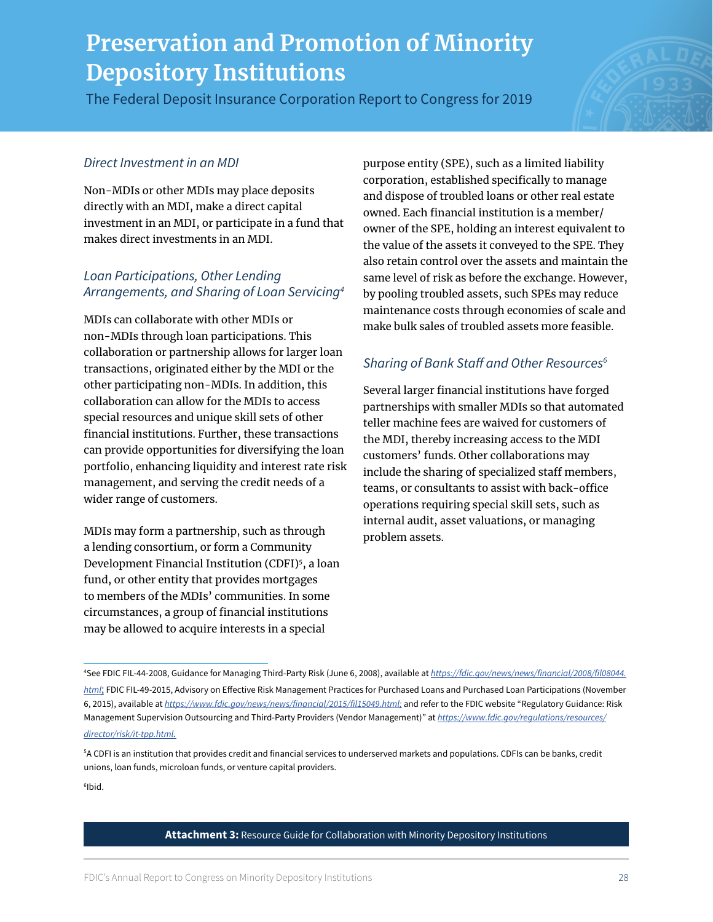The Federal Deposit Insurance Corporation Report to Congress for 2019

#### *Direct Investment in an MDI*

Non-MDIs or other MDIs may place deposits directly with an MDI, make a direct capital investment in an MDI, or participate in a fund that makes direct investments in an MDI.

#### *Loan Participations, Other Lending Arrangements, and Sharing of Loan Servicing4*

MDIs can collaborate with other MDIs or non-MDIs through loan participations. This collaboration or partnership allows for larger loan transactions, originated either by the MDI or the other participating non-MDIs. In addition, this collaboration can allow for the MDIs to access special resources and unique skill sets of other financial institutions. Further, these transactions can provide opportunities for diversifying the loan portfolio, enhancing liquidity and interest rate risk management, and serving the credit needs of a wider range of customers.

MDIs may form a partnership, such as through a lending consortium, or form a Community Development Financial Institution (CDFI)<sup>5</sup>, a loan fund, or other entity that provides mortgages to members of the MDIs' communities. In some circumstances, a group of financial institutions may be allowed to acquire interests in a special

purpose entity (SPE), such as a limited liability corporation, established specifically to manage and dispose of troubled loans or other real estate owned. Each financial institution is a member/ owner of the SPE, holding an interest equivalent to the value of the assets it conveyed to the SPE. They also retain control over the assets and maintain the same level of risk as before the exchange. However, by pooling troubled assets, such SPEs may reduce maintenance costs through economies of scale and make bulk sales of troubled assets more feasible.

### *Sharing of Bank Staff and Other Resources6*

Several larger financial institutions have forged partnerships with smaller MDIs so that automated teller machine fees are waived for customers of the MDI, thereby increasing access to the MDI customers' funds. Other collaborations may include the sharing of specialized staff members, teams, or consultants to assist with back-office operations requiring special skill sets, such as internal audit, asset valuations, or managing problem assets.

6 Ibid.

<sup>4</sup> See FDIC FIL-44-2008, Guidance for Managing Third-Party Risk (June 6, 2008), available at *[https://fdic.gov/news/news/financial/2008/fil08044.](https://fdic.gov/news/news/financial/2008/fil08044.html) [html](https://fdic.gov/news/news/financial/2008/fil08044.html);* FDIC FIL-49-2015, Advisory on Effective Risk Management Practices for Purchased Loans and Purchased Loan Participations (November 6, 2015), available at *[https://www.fdic.gov/news/news/financial/2015/fil15049.html;](https://www.fdic.gov/news/news/financial/2015/fil15049.html)* and refer to the FDIC website "Regulatory Guidance: Risk Management Supervision Outsourcing and Third-Party Providers (Vendor Management)" at *[https://www.fdic.gov/regulations/resources/](https://www.fdic.gov/regulations/resources/director/risk/it-tpp.html) [director/risk/it-tpp.html](https://www.fdic.gov/regulations/resources/director/risk/it-tpp.html).*

<sup>5</sup> A CDFI is an institution that provides credit and financial services to underserved markets and populations. CDFIs can be banks, credit unions, loan funds, microloan funds, or venture capital providers.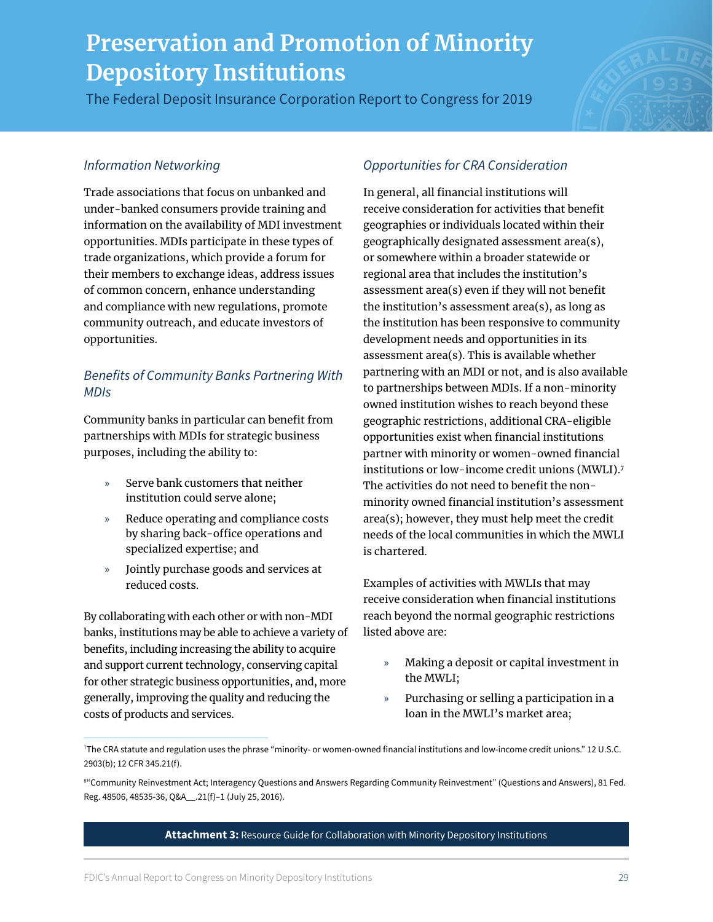The Federal Deposit Insurance Corporation Report to Congress for 2019

#### *Information Networking*

Trade associations that focus on unbanked and under-banked consumers provide training and information on the availability of MDI investment opportunities. MDIs participate in these types of trade organizations, which provide a forum for their members to exchange ideas, address issues of common concern, enhance understanding and compliance with new regulations, promote community outreach, and educate investors of opportunities.

### *Benefits of Community Banks Partnering With MDIs*

Community banks in particular can benefit from partnerships with MDIs for strategic business purposes, including the ability to:

- » Serve bank customers that neither institution could serve alone;
- » Reduce operating and compliance costs by sharing back-office operations and specialized expertise; and
- » Jointly purchase goods and services at reduced costs.

By collaborating with each other or with non-MDI banks, institutions may be able to achieve a variety of benefits, including increasing the ability to acquire and support current technology, conserving capital for other strategic business opportunities, and, more generally, improving the quality and reducing the costs of products and services.

### *Opportunities for CRA Consideration*

In general, all financial institutions will receive consideration for activities that benefit geographies or individuals located within their geographically designated assessment area(s), or somewhere within a broader statewide or regional area that includes the institution's assessment area(s) even if they will not benefit the institution's assessment area(s), as long as the institution has been responsive to community development needs and opportunities in its assessment area(s). This is available whether partnering with an MDI or not, and is also available to partnerships between MDIs. If a non-minority owned institution wishes to reach beyond these geographic restrictions, additional CRA-eligible opportunities exist when financial institutions partner with minority or women-owned financial institutions or low-income credit unions (MWLI).7 The activities do not need to benefit the nonminority owned financial institution's assessment area(s); however, they must help meet the credit needs of the local communities in which the MWLI is chartered.

Examples of activities with MWLIs that may receive consideration when financial institutions reach beyond the normal geographic restrictions listed above are:

- » Making a deposit or capital investment in the MWLI;
- » Purchasing or selling a participation in a loan in the MWLI's market area;

<sup>7</sup> The CRA statute and regulation uses the phrase "minority- or women-owned financial institutions and low-income credit unions." 12 U.S.C. 2903(b); 12 CFR 345.21(f).

<sup>8</sup> "Community Reinvestment Act; Interagency Questions and Answers Regarding Community Reinvestment" (Questions and Answers), 81 Fed. Reg. 48506, 48535-36, Q&A\_\_.21(f)–1 (July 25, 2016).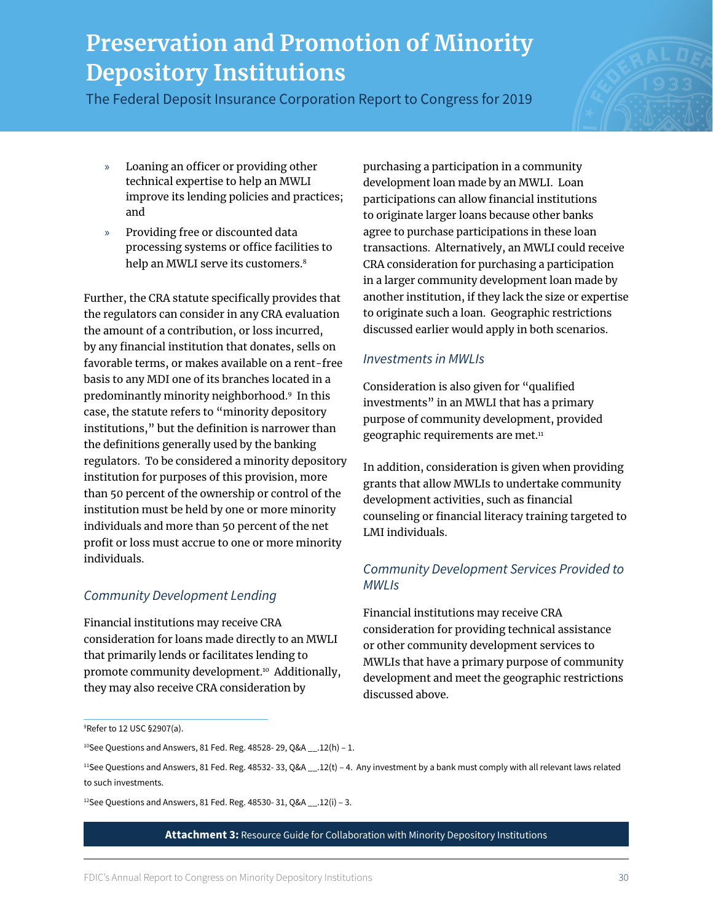The Federal Deposit Insurance Corporation Report to Congress for 2019

- » Loaning an officer or providing other technical expertise to help an MWLI improve its lending policies and practices; and
- » Providing free or discounted data processing systems or office facilities to help an MWLI serve its customers.<sup>8</sup>

Further, the CRA statute specifically provides that the regulators can consider in any CRA evaluation the amount of a contribution, or loss incurred, by any financial institution that donates, sells on favorable terms, or makes available on a rent-free basis to any MDI one of its branches located in a predominantly minority neighborhood.9 In this case, the statute refers to "minority depository institutions," but the definition is narrower than the definitions generally used by the banking regulators. To be considered a minority depository institution for purposes of this provision, more than 50 percent of the ownership or control of the institution must be held by one or more minority individuals and more than 50 percent of the net profit or loss must accrue to one or more minority individuals.

### *Community Development Lending*

Financial institutions may receive CRA consideration for loans made directly to an MWLI that primarily lends or facilitates lending to promote community development.<sup>10</sup> Additionally, they may also receive CRA consideration by

purchasing a participation in a community development loan made by an MWLI. Loan participations can allow financial institutions to originate larger loans because other banks agree to purchase participations in these loan transactions. Alternatively, an MWLI could receive CRA consideration for purchasing a participation in a larger community development loan made by another institution, if they lack the size or expertise to originate such a loan. Geographic restrictions discussed earlier would apply in both scenarios.

#### *Investments in MWLIs*

Consideration is also given for "qualified investments" in an MWLI that has a primary purpose of community development, provided geographic requirements are met.<sup>11</sup>

In addition, consideration is given when providing grants that allow MWLIs to undertake community development activities, such as financial counseling or financial literacy training targeted to LMI individuals.

#### *Community Development Services Provided to MWLIs*

Financial institutions may receive CRA consideration for providing technical assistance or other community development services to MWLIs that have a primary purpose of community development and meet the geographic restrictions discussed above.

 $12$ See Questions and Answers, 81 Fed. Reg. 48530-31, Q&A \_\_.12(i) - 3.

<sup>9</sup> Refer to 12 USC §2907(a).

 $10$  See Questions and Answers, 81 Fed. Reg. 48528-29, Q&A \_\_.12(h) - 1.

<sup>11</sup>See Questions and Answers, 81 Fed. Reg. 48532- 33, Q&A \_\_.12(t) – 4. Any investment by a bank must comply with all relevant laws related to such investments.